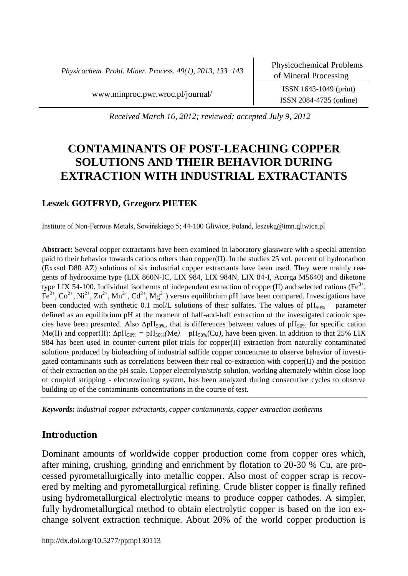*Physicochem. Probl. Miner. Process. 49(1), 2013, 133*−*143*

ISSN 2084-4735 (online)

[www.minproc.pwr.wroc.pl/journal/](http://www.minproc.pwr.wroc.pl/journal/) ISSN 1643-1049 (print)

*Received March 16, 2012; reviewed; accepted July 9, 2012*

# **CONTAMINANTS OF POST-LEACHING COPPER SOLUTIONS AND THEIR BEHAVIOR DURING EXTRACTION WITH INDUSTRIAL EXTRACTANTS**

## **Leszek GOTFRYD, Grzegorz PIETEK**

Institute of Non-Ferrous Metals, Sowińskiego 5; 44-100 Gliwice, Poland, leszekg@imn.gliwice.pl

**Abstract:** Several copper extractants have been examined in laboratory glassware with a special attention paid to their behavior towards cations others than copper(II). In the studies 25 vol. percent of hydrocarbon (Exxsol D80 AZ) solutions of six industrial copper extractants have been used. They were mainly reagents of hydrooxime type (LIX 860N-IC, LIX 984, LIX 984N, LIX 84-I, Acorga M5640) and diketone type LIX 54-100. Individual isotherms of independent extraction of copper(II) and selected cations (Fe<sup>3+</sup>,  $\text{Fe}^{2+}$ ,  $\text{Co}^{2+}$ ,  $\text{Ni}^{2+}$ ,  $\text{Zn}^{2+}$ ,  $\text{Mn}^{2+}$ ,  $\text{Cd}^{2+}$ ,  $\text{Mg}^{2+}$ ) versus equilibrium pH have been compared. Investigations have been conducted with synthetic 0.1 mol/L solutions of their sulfates. The values of pH<sub>50%</sub> – parameter defined as an equilibrium pH at the moment of half-and-half extraction of the investigated cationic species have been presented. Also  $\Delta \text{pH}_{50\%}$ , that is differences between values of  $\text{pH}_{50\%}$  for specific cation Me(II) and copper(II):  $\Delta pH_{50\%} = pH_{50\%}(Me) - pH_{50\%}(Cu)$ , have been given. In addition to that 25% LIX 984 has been used in counter-current pilot trials for copper(II) extraction from naturally contaminated solutions produced by bioleaching of industrial sulfide copper concentrate to observe behavior of investigated contaminants such as correlations between their real co-extraction with copper(II) and the position of their extraction on the pH scale. Copper electrolyte/strip solution, working alternately within close loop of coupled stripping - electrowinning system, has been analyzed during consecutive cycles to observe building up of the contaminants concentrations in the course of test.

*Keywords: industrial copper extractants, copper contaminants, copper extraction isotherms*

### **Introduction**

Dominant amounts of worldwide copper production come from copper ores which, after mining, crushing, grinding and enrichment by flotation to 20-30 % Cu, are processed pyrometallurgically into metallic copper. Also most of copper scrap is recovered by melting and pyrometallurgical refining. Crude blister copper is finally refined using hydrometallurgical electrolytic means to produce copper cathodes. A simpler, fully hydrometallurgical method to obtain electrolytic copper is based on the ion exchange solvent extraction technique. About 20% of the world copper production is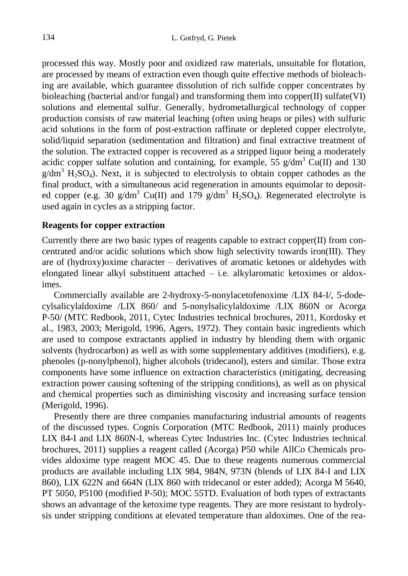processed this way. Mostly poor and oxidized raw materials, unsuitable for flotation, are processed by means of extraction even though quite effective methods of bioleaching are available, which guarantee dissolution of rich sulfide copper concentrates by bioleaching (bacterial and/or fungal) and transforming them into copper $(II)$  sulfate $(VI)$ solutions and elemental sulfur. Generally, hydrometallurgical technology of copper production consists of raw material leaching (often using heaps or piles) with sulfuric acid solutions in the form of post-extraction raffinate or depleted copper electrolyte, solid/liquid separation (sedimentation and filtration) and final extractive treatment of the solution. The extracted copper is recovered as a stripped liquor being a moderately acidic copper sulfate solution and containing, for example,  $5\frac{2}{9}$  g/dm<sup>3</sup> Cu(II) and 130  $g/dm<sup>3</sup>$  H<sub>2</sub>SO<sub>4</sub>). Next, it is subjected to electrolysis to obtain copper cathodes as the final product, with a simultaneous acid regeneration in amounts equimolar to deposited copper (e.g. 30 g/dm<sup>3</sup> Cu(II) and 179 g/dm<sup>3</sup> H<sub>2</sub>SO<sub>4</sub>). Regenerated electrolyte is used again in cycles as a stripping factor.

#### **Reagents for copper extraction**

Currently there are two basic types of reagents capable to extract copper $(II)$  from concentrated and/or acidic solutions which show high selectivity towards iron(III). They are of (hydroxy)oxime character – derivatives of aromatic ketones or aldehydes with elongated linear alkyl substituent attached  $-$  i.e. alkylaromatic ketoximes or aldoximes.

Commercially available are 2-hydroxy-5-nonylacetofenoxime /LIX 84-I/, 5-dodecylsalicylaldoxime /LIX 860/ and 5-nonylsalicylaldoxime /LIX 860N or Acorga P-50/ (MTC Redbook, 2011, Cytec Industries technical brochures, 2011, Kordosky et al., 1983, 2003; Merigold, 1996, Agers, 1972). They contain basic ingredients which are used to compose extractants applied in industry by blending them with organic solvents (hydrocarbon) as well as with some supplementary additives (modifiers), e.g. phenoles (p-nonylphenol), higher alcohols (tridecanol), esters and similar. Those extra components have some influence on extraction characteristics (mitigating, decreasing extraction power causing softening of the stripping conditions), as well as on physical and chemical properties such as diminishing viscosity and increasing surface tension (Merigold, 1996).

Presently there are three companies manufacturing industrial amounts of reagents of the discussed types. Cognis Corporation (MTC Redbook, 2011) mainly produces LIX 84-I and LIX 860N-I, whereas Cytec Industries Inc. (Cytec Industries technical brochures, 2011) supplies a reagent called (Acorga) P50 while AllCo Chemicals provides aldoxime type reagent MOC 45. Due to these reagents numerous commercial products are available including LIX 984, 984N, 973N (blends of LIX 84-I and LIX 860), LIX 622N and 664N (LIX 860 with tridecanol or ester added); Acorga M 5640, PT 5050, P5100 (modified P-50); MOC 55TD. Evaluation of both types of extractants shows an advantage of the ketoxime type reagents. They are more resistant to hydrolysis under stripping conditions at elevated temperature than aldoximes. One of the rea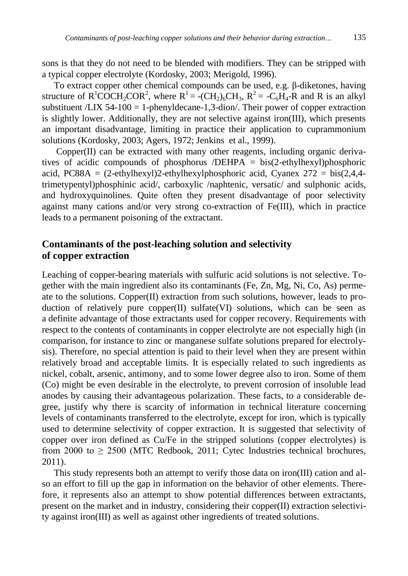sons is that they do not need to be blended with modifiers. They can be stripped with a typical copper electrolyte (Kordosky, 2003; Merigold, 1996).

To extract copper other chemical compounds can be used, e.g. β-diketones, having structure of  $R^1$ COCH<sub>2</sub>COR<sup>2</sup>, where  $R^1$  = -(CH<sub>2</sub>)<sub>6</sub>CH<sub>3</sub>,  $R^2$  = -C<sub>6</sub>H<sub>4</sub>-R and R is an alkyl substituent  $/LIX$  54-100 = 1-phenyldecane-1,3-dion/. Their power of copper extraction is slightly lower. Additionally, they are not selective against iron(III), which presents an important disadvantage, limiting in practice their application to cuprammonium solutions (Kordosky, 2003; Agers, 1972; Jenkins et al., 1999).

Copper(II) can be extracted with many other reagents, including organic derivatives of acidic compounds of phosphorus /DEHPA = bis(2-ethylhexyl)phosphoric acid, PC88A =  $(2$ -ethylhexyl)2-ethylhexylphosphoric acid, Cyanex  $272 = \text{bis}(2.4.4$ trimetypentyl)phosphinic acid/, carboxylic /naphtenic, versatic/ and sulphonic acids, and hydroxyquinolines. Quite often they present disadvantage of poor selectivity against many cations and/or very strong co-extraction of Fe(III), which in practice leads to a permanent poisoning of the extractant.

## **Contaminants of the post-leaching solution and selectivity of copper extraction**

Leaching of copper-bearing materials with sulfuric acid solutions is not selective. Together with the main ingredient also its contaminants (Fe, Zn, Mg, Ni, Co, As) permeate to the solutions. Copper(II) extraction from such solutions, however, leads to production of relatively pure copper $(II)$  sulfate $(VI)$  solutions, which can be seen as a definite advantage of those extractants used for copper recovery. Requirements with respect to the contents of contaminants in copper electrolyte are not especially high (in comparison, for instance to zinc or manganese sulfate solutions prepared for electrolysis). Therefore, no special attention is paid to their level when they are present within relatively broad and acceptable limits. It is especially related to such ingredients as nickel, cobalt, arsenic, antimony, and to some lower degree also to iron. Some of them (Co) might be even desirable in the electrolyte, to prevent corrosion of insoluble lead anodes by causing their advantageous polarization. These facts, to a considerable degree, justify why there is scarcity of information in technical literature concerning levels of contaminants transferred to the electrolyte, except for iron, which is typically used to determine selectivity of copper extraction. It is suggested that selectivity of copper over iron defined as Cu/Fe in the stripped solutions (copper electrolytes) is from 2000 to  $\geq$  2500 (MTC Redbook, 2011; Cytec Industries technical brochures, 2011).

This study represents both an attempt to verify those data on iron(III) cation and also an effort to fill up the gap in information on the behavior of other elements. Therefore, it represents also an attempt to show potential differences between extractants, present on the market and in industry, considering their copper(II) extraction selectivity against iron(III) as well as against other ingredients of treated solutions.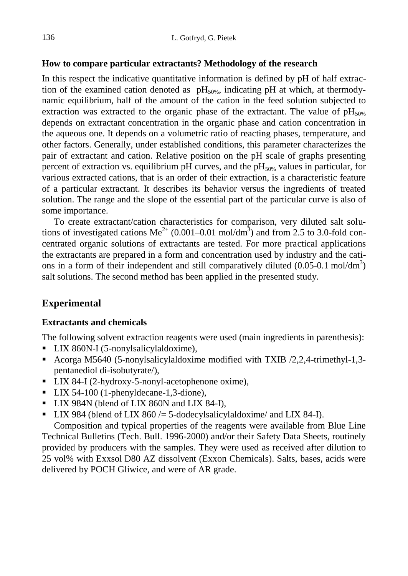## **How to compare particular extractants? Methodology of the research**

In this respect the indicative quantitative information is defined by pH of half extraction of the examined cation denoted as  $\rm pH_{50\%}$ , indicating pH at which, at thermodynamic equilibrium, half of the amount of the cation in the feed solution subjected to extraction was extracted to the organic phase of the extractant. The value of  $pH_{50\%}$ depends on extractant concentration in the organic phase and cation concentration in the aqueous one. It depends on a volumetric ratio of reacting phases, temperature, and other factors. Generally, under established conditions, this parameter characterizes the pair of extractant and cation. Relative position on the pH scale of graphs presenting percent of extraction vs. equilibrium pH curves, and the  $pH<sub>50%</sub>$  values in particular, for various extracted cations, that is an order of their extraction, is a characteristic feature of a particular extractant. It describes its behavior versus the ingredients of treated solution. The range and the slope of the essential part of the particular curve is also of some importance.

To create extractant/cation characteristics for comparison, very diluted salt solutions of investigated cations  $\text{Me}^{2+}$  (0.001–0.01 mol/dm<sup>3</sup>) and from 2.5 to 3.0-fold concentrated organic solutions of extractants are tested. For more practical applications the extractants are prepared in a form and concentration used by industry and the cations in a form of their independent and still comparatively diluted  $(0.05{\text -}0.1 \text{ mol/dm}^3)$ salt solutions. The second method has been applied in the presented study.

## **Experimental**

## **Extractants and chemicals**

The following solvent extraction reagents were used (main ingredients in parenthesis):

- LIX 860N-I (5-nonylsalicylaldoxime),
- Acorga M5640 (5-nonylsalicylaldoxime modified with TXIB /2,2,4-trimethyl-1,3pentanediol di-isobutyrate/),
- LIX 84-I (2-hydroxy-5-nonyl-acetophenone oxime),
- LIX 54-100 (1-phenyldecane-1,3-dione),
- LIX 984N (blend of LIX 860N and LIX 84-I),
- **LIX 984** (blend of LIX 860 /= 5-dodecylsalicylaldoxime/ and LIX 84-I).

Composition and typical properties of the reagents were available from Blue Line Technical Bulletins (Tech. Bull. 1996-2000) and/or their Safety Data Sheets, routinely provided by producers with the samples. They were used as received after dilution to 25 vol% with Exxsol D80 AZ dissolvent (Exxon Chemicals). Salts, bases, acids were delivered by POCH Gliwice, and were of AR grade.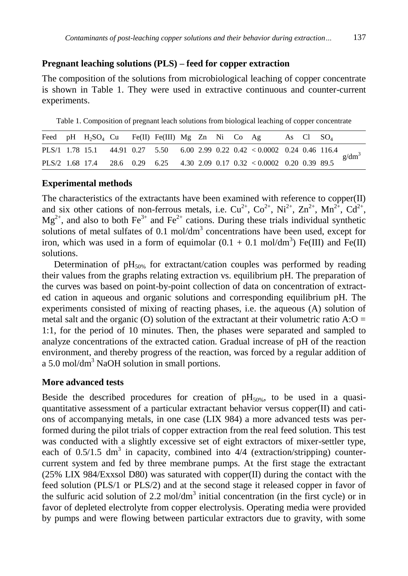## **Pregnant leaching solutions (PLS) – feed for copper extraction**

The composition of the solutions from microbiological leaching of copper concentrate is shown in Table 1. They were used in extractive continuous and counter-current experiments.

Table 1. Composition of pregnant leach solutions from biological leaching of copper concentrate

|  | Feed pH H <sub>2</sub> SO <sub>4</sub> Cu Fe(II) Fe(III) Mg Zn Ni Co Ag |  |  |  |                                                                              | As Cl $SO_4$ |  |          |
|--|-------------------------------------------------------------------------|--|--|--|------------------------------------------------------------------------------|--------------|--|----------|
|  |                                                                         |  |  |  | PLS/1 1.78 15.1 44.91 0.27 5.50 6.00 2.99 0.22 0.42 < 0.0002 0.24 0.46 116.4 |              |  | $g/dm^3$ |
|  |                                                                         |  |  |  | PLS/2 1.68 17.4 28.6 0.29 6.25 4.30 2.09 0.17 0.32 < 0.0002 0.20 0.39 89.5   |              |  |          |

#### **Experimental methods**

The characteristics of the extractants have been examined with reference to copper(II) and six other cations of non-ferrous metals, i.e.  $Cu^{2+}$ ,  $Co^{2+}$ ,  $Ni^{2+}$ ,  $Zn^{2+}$ ,  $Mn^{2+}$ ,  $Cd^{2+}$ ,  $Mg^{2+}$ , and also to both Fe<sup>3+</sup> and Fe<sup>2+</sup> cations. During these trials individual synthetic solutions of metal sulfates of 0.1 mol/ $dm<sup>3</sup>$  concentrations have been used, except for iron, which was used in a form of equimolar  $(0.1 + 0.1 \text{ mol/dm}^3)$  Fe(III) and Fe(II) solutions.

Determination of  $pH_{50\%}$  for extractant/cation couples was performed by reading their values from the graphs relating extraction vs. equilibrium pH. The preparation of the curves was based on point-by-point collection of data on concentration of extracted cation in aqueous and organic solutions and corresponding equilibrium pH. The experiments consisted of mixing of reacting phases, i.e. the aqueous (A) solution of metal salt and the organic (O) solution of the extractant at their volumetric ratio  $A:O =$ 1:1, for the period of 10 minutes. Then, the phases were separated and sampled to analyze concentrations of the extracted cation. Gradual increase of pH of the reaction environment, and thereby progress of the reaction, was forced by a regular addition of a  $5.0 \text{ mol/dm}^3$  NaOH solution in small portions.

#### **More advanced tests**

Beside the described procedures for creation of  $pH_{50\%}$ , to be used in a quasiquantitative assessment of a particular extractant behavior versus copper(II) and cations of accompanying metals, in one case (LIX 984) a more advanced tests was performed during the pilot trials of copper extraction from the real feed solution. This test was conducted with a slightly excessive set of eight extractors of mixer-settler type, each of  $0.5/1.5$  dm<sup>3</sup> in capacity, combined into  $4/4$  (extraction/stripping) countercurrent system and fed by three membrane pumps. At the first stage the extractant (25% LIX 984/Exxsol D80) was saturated with copper(II) during the contact with the feed solution (PLS/1 or PLS/2) and at the second stage it released copper in favor of the sulfuric acid solution of  $2.2 \text{ mol/dm}^3$  initial concentration (in the first cycle) or in favor of depleted electrolyte from copper electrolysis. Operating media were provided by pumps and were flowing between particular extractors due to gravity, with some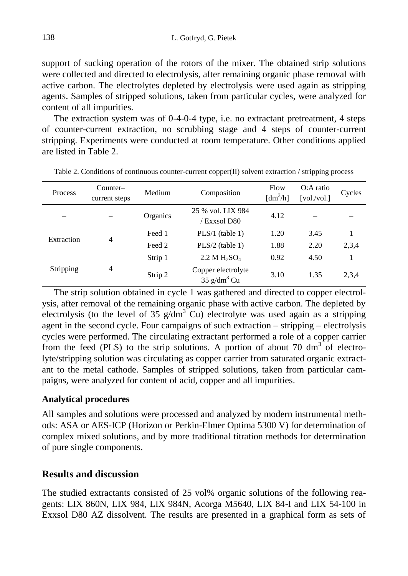support of sucking operation of the rotors of the mixer. The obtained strip solutions were collected and directed to electrolysis, after remaining organic phase removal with active carbon. The electrolytes depleted by electrolysis were used again as stripping agents. Samples of stripped solutions, taken from particular cycles, were analyzed for content of all impurities.

The extraction system was of 0-4-0-4 type, i.e. no extractant pretreatment, 4 steps of counter-current extraction, no scrubbing stage and 4 steps of counter-current stripping. Experiments were conducted at room temperature. Other conditions applied are listed in Table 2.

| Process    | Counter-<br>current steps | Medium   | Composition                                     | Flow<br>$\left[\text{dm}^3/\text{h}\right]$ | O:A ratio<br>[vol/vol.] | Cycles |
|------------|---------------------------|----------|-------------------------------------------------|---------------------------------------------|-------------------------|--------|
|            |                           | Organics | 25 % vol. LIX 984<br>/ Exxsol D80               | 4.12                                        |                         |        |
| Extraction | $\overline{4}$            | Feed 1   | $PLS/1$ (table 1)                               | 1.20                                        | 3.45                    |        |
|            |                           | Feed 2   | $PLS/2$ (table 1)                               | 1.88                                        | 2.20                    | 2,3,4  |
|            |                           | Strip 1  | 2.2 M H <sub>2</sub> SO <sub>4</sub>            | 0.92                                        | 4.50                    |        |
| Stripping  | $\overline{4}$            | Strip 2  | Copper electrolyte<br>$35$ g/dm <sup>3</sup> Cu | 3.10                                        | 1.35                    | 2,3,4  |

Table 2. Conditions of continuous counter-current copper(II) solvent extraction / stripping process

The strip solution obtained in cycle 1 was gathered and directed to copper electrolysis, after removal of the remaining organic phase with active carbon. The depleted by electrolysis (to the level of 35  $g/dm<sup>3</sup>$  Cu) electrolyte was used again as a stripping agent in the second cycle. Four campaigns of such extraction – stripping – electrolysis cycles were performed. The circulating extractant performed a role of a copper carrier from the feed (PLS) to the strip solutions. A portion of about 70 dm<sup>3</sup> of electrolyte/stripping solution was circulating as copper carrier from saturated organic extractant to the metal cathode. Samples of stripped solutions, taken from particular campaigns, were analyzed for content of acid, copper and all impurities.

### **Analytical procedures**

All samples and solutions were processed and analyzed by modern instrumental methods: ASA or AES-ICP (Horizon or Perkin-Elmer Optima 5300 V) for determination of complex mixed solutions, and by more traditional titration methods for determination of pure single components.

### **Results and discussion**

The studied extractants consisted of 25 vol% organic solutions of the following reagents: LIX 860N, LIX 984, LIX 984N, Acorga M5640, LIX 84-I and LIX 54-100 in Exxsol D80 AZ dissolvent. The results are presented in a graphical form as sets of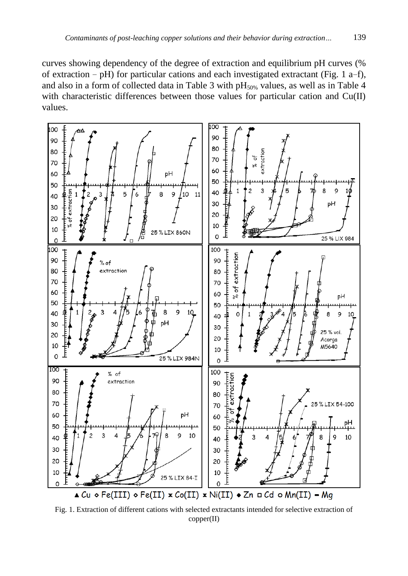curves showing dependency of the degree of extraction and equilibrium pH curves (% of extraction − pH) for particular cations and each investigated extractant (Fig. 1 a−f), and also in a form of collected data in Table 3 with  $pH_{50\%}$  values, as well as in Table 4 with characteristic differences between those values for particular cation and Cu(II) values.



Fig. 1. Extraction of different cations with selected extractants intended for selective extraction of copper(II)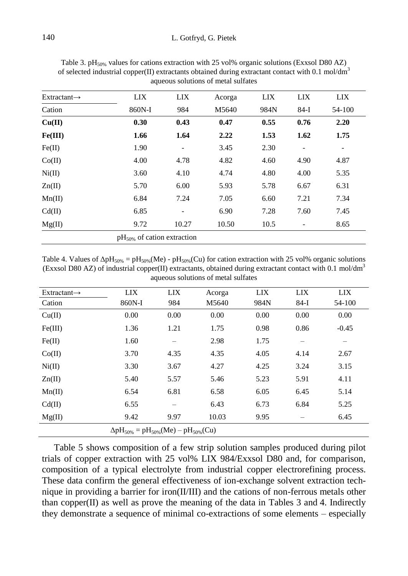| $Extractant\rightarrow$ | <b>LIX</b>                   | <b>LIX</b>               | Acorga | LIX  | <b>LIX</b>               | <b>LIX</b>               |
|-------------------------|------------------------------|--------------------------|--------|------|--------------------------|--------------------------|
| Cation                  | 860N-I                       | 984                      | M5640  | 984N | $84-I$                   | 54-100                   |
| Cu(II)                  | 0.30                         | 0.43                     | 0.47   | 0.55 | 0.76                     | 2.20                     |
| Fe(III)                 | 1.66                         | 1.64                     | 2.22   | 1.53 | 1.62                     | 1.75                     |
| Fe(II)                  | 1.90                         | $\qquad \qquad -$        | 3.45   | 2.30 | $\overline{\phantom{a}}$ | $\overline{\phantom{a}}$ |
| Co(II)                  | 4.00                         | 4.78                     | 4.82   | 4.60 | 4.90                     | 4.87                     |
| Ni(II)                  | 3.60                         | 4.10                     | 4.74   | 4.80 | 4.00                     | 5.35                     |
| Zn(II)                  | 5.70                         | 6.00                     | 5.93   | 5.78 | 6.67                     | 6.31                     |
| Mn(II)                  | 6.84                         | 7.24                     | 7.05   | 6.60 | 7.21                     | 7.34                     |
| Cd(II)                  | 6.85                         | $\overline{\phantom{a}}$ | 6.90   | 7.28 | 7.60                     | 7.45                     |
| Mg(II)                  | 9.72                         | 10.27                    | 10.50  | 10.5 |                          | 8.65                     |
|                         | $pH50%$ of cation extraction |                          |        |      |                          |                          |

Table 3.  $pH<sub>50%</sub>$  values for cations extraction with 25 vol% organic solutions (Exxsol D80 AZ) of selected industrial copper(II) extractants obtained during extractant contact with 0.1 mol/dm<sup>3</sup> aqueous solutions of metal sulfates

Table 4. Values of  $\Delta pH_{50\%} = pH_{50\%}(Me) - pH_{50\%}(Cu)$  for cation extraction with 25 vol% organic solutions (Exxsol D80 AZ) of industrial copper(II) extractants, obtained during extractant contact with 0.1 mol/dm<sup>3</sup> aqueous solutions of metal sulfates

| $Extractant\rightarrow$ | <b>LIX</b>                                         | LIX  | Acorga | <b>LIX</b> | <b>LIX</b>               | <b>LIX</b> |
|-------------------------|----------------------------------------------------|------|--------|------------|--------------------------|------------|
| Cation                  | 860N-I                                             | 984  | M5640  | 984N       | $84-I$                   | 54-100     |
| Cu(II)                  | 0.00                                               | 0.00 | 0.00   | 0.00       | 0.00                     | 0.00       |
| Fe(III)                 | 1.36                                               | 1.21 | 1.75   | 0.98       | 0.86                     | $-0.45$    |
| Fe(II)                  | 1.60                                               | -    | 2.98   | 1.75       | $\overline{\phantom{0}}$ |            |
| Co(II)                  | 3.70                                               | 4.35 | 4.35   | 4.05       | 4.14                     | 2.67       |
| Ni(II)                  | 3.30                                               | 3.67 | 4.27   | 4.25       | 3.24                     | 3.15       |
| Zn(II)                  | 5.40                                               | 5.57 | 5.46   | 5.23       | 5.91                     | 4.11       |
| Mn(II)                  | 6.54                                               | 6.81 | 6.58   | 6.05       | 6.45                     | 5.14       |
| Cd(II)                  | 6.55                                               | -    | 6.43   | 6.73       | 6.84                     | 5.25       |
| Mg(II)                  | 9.42                                               | 9.97 | 10.03  | 9.95       |                          | 6.45       |
|                         | $\Delta pH_{50\%} = pH_{50\%}(Me) - pH_{50\%}(Cu)$ |      |        |            |                          |            |

Table 5 shows composition of a few strip solution samples produced during pilot trials of copper extraction with 25 vol% LIX 984/Exxsol D80 and, for comparison, composition of a typical electrolyte from industrial copper electrorefining process. These data confirm the general effectiveness of ion-exchange solvent extraction technique in providing a barrier for iron(II/III) and the cations of non-ferrous metals other than copper(II) as well as prove the meaning of the data in Tables 3 and 4. Indirectly they demonstrate a sequence of minimal co-extractions of some elements – especially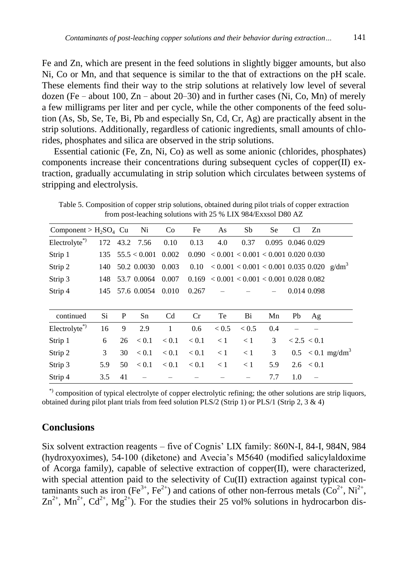Fe and Zn, which are present in the feed solutions in slightly bigger amounts, but also Ni, Co or Mn, and that sequence is similar to the that of extractions on the pH scale. These elements find their way to the strip solutions at relatively low level of several dozen (Fe − about 100, Zn − about 20−30) and in further cases (Ni, Co, Mn) of merely a few milligrams per liter and per cycle, while the other components of the feed solution (As, Sb, Se, Te, Bi, Pb and especially Sn, Cd, Cr, Ag) are practically absent in the strip solutions. Additionally, regardless of cationic ingredients, small amounts of chlorides, phosphates and silica are observed in the strip solutions.

Essential cationic (Fe, Zn, Ni, Co) as well as some anionic (chlorides, phosphates) components increase their concentrations during subsequent cycles of copper(II) extraction, gradually accumulating in strip solution which circulates between systems of stripping and electrolysis.

Table 5. Composition of copper strip solutions, obtained during pilot trials of copper extraction from post-leaching solutions with 25 % LIX 984/Exxsol D80 AZ

| Component > $H_2SO_4$ Cu |     |    | Ni            | Co             | Fe    | As                                                      | Sb       | Se                | C <sub>1</sub> | Zn            |                                |
|--------------------------|-----|----|---------------|----------------|-------|---------------------------------------------------------|----------|-------------------|----------------|---------------|--------------------------------|
| Electrolyte*)            |     |    | 172 43.2 7.56 | 0.10           | 0.13  | 4.0                                                     | 0.37     | 0.095 0.046 0.029 |                |               |                                |
| Strip 1                  | 135 |    | 55.5 < 0.001  | 0.002          |       | $0.090 \le 0.001 \le 0.001 \le 0.001 \ 0.020 \ 0.030$   |          |                   |                |               |                                |
| Strip 2                  | 140 |    | 50.2 0.0030   | 0.003          | 0.10  | $< 0.001 < 0.001 < 0.001$ 0.035 0.020 g/dm <sup>3</sup> |          |                   |                |               |                                |
| Strip 3                  | 148 |    | 53.7 0.0064   | 0.007          | 0.169 | $< 0.001 < 0.001 < 0.001$ 0.028 0.082                   |          |                   |                |               |                                |
| Strip 4                  | 145 |    | 57.6 0.0054   | 0.010          | 0.267 |                                                         |          |                   |                | 0.014 0.098   |                                |
|                          |     |    |               |                |       |                                                         |          |                   |                |               |                                |
| continued                | Si  | P  | Sn            | C <sub>d</sub> | Cr    | Te                                                      | Bi       | Mn                | Pb             | Ag            |                                |
| Electrolyte*)            | 16  | 9  | 2.9           | $\mathbf{1}$   | 0.6   | < 0.5                                                   | < 0.5    | 0.4               |                |               |                                |
| Strip 1                  | 6   | 26 | < 0.1         | < 0.1          | < 0.1 | $\leq 1$                                                | $\leq 1$ | 3                 | < 2.5 < 0.1    |               |                                |
| Strip 2                  | 3   | 30 | < 0.1         | < 0.1          | < 0.1 | $\leq 1$                                                | < 1      | 3                 |                |               | $0.5 < 0.1$ mg/dm <sup>3</sup> |
| Strip 3                  | 5.9 | 50 | < 0.1         | < 0.1          | < 0.1 | $\leq 1$                                                | $\leq 1$ | 5.9               |                | $2.6 \le 0.1$ |                                |
| Strip 4                  | 3.5 | 41 |               |                |       |                                                         |          | 7.7               | 1.0            |               |                                |

\*) composition of typical electrolyte of copper electrolytic refining; the other solutions are strip liquors, obtained during pilot plant trials from feed solution PLS/2 (Strip 1) or PLS/1 (Strip 2, 3 & 4)

### **Conclusions**

Six solvent extraction reagents – five of Cognis' LIX family: 860N-I, 84-I, 984N, 984 (hydroxyoximes), 54-100 (diketone) and Avecia's M5640 (modified salicylaldoxime of Acorga family), capable of selective extraction of copper(II), were characterized, with special attention paid to the selectivity of Cu(II) extraction against typical contaminants such as iron (Fe<sup>3+</sup>, Fe<sup>2+</sup>) and cations of other non-ferrous metals ( $Co^{2+}$ , Ni<sup>2+</sup>,  $Zn^{2+}$ ,  $Mn^{2+}$ ,  $Cd^{2+}$ ,  $Mg^{2+}$ ). For the studies their 25 vol% solutions in hydrocarbon dis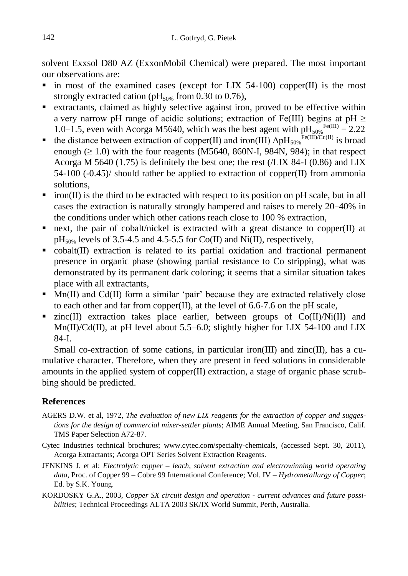solvent Exxsol D80 AZ (ExxonMobil Chemical) were prepared. The most important our observations are:

- $\blacksquare$  in most of the examined cases (except for LIX 54-100) copper(II) is the most strongly extracted cation (pH<sub>50%</sub> from  $0.30$  to 0.76),
- extractants, claimed as highly selective against iron, proved to be effective within a very narrow pH range of acidic solutions; extraction of Fe(III) begins at pH  $\geq$ 1.0–1.5, even with Acorga M5640, which was the best agent with  $pH_{50\%}^{\text{Fe(III)}} = 2.22$
- the distance between extraction of copper(II) and iron(III)  $\Delta pH_{50\%}^{\text{Fe(III)/Cu(II)}}$  is broad enough ( $\geq 1.0$ ) with the four reagents (M5640, 860N-I, 984N, 984); in that respect Acorga M 5640 (1.75) is definitely the best one; the rest (/LIX 84-I (0.86) and LIX 54-100 (-0.45)/ should rather be applied to extraction of copper(II) from ammonia solutions,
- $\blacksquare$  iron(II) is the third to be extracted with respect to its position on pH scale, but in all cases the extraction is naturally strongly hampered and raises to merely 20−40% in the conditions under which other cations reach close to 100 % extraction,
- next, the pair of cobalt/nickel is extracted with a great distance to copper  $(II)$  at  $pH_{50\%}$  levels of 3.5-4.5 and 4.5-5.5 for Co(II) and Ni(II), respectively,
- cobalt(II) extraction is related to its partial oxidation and fractional permanent presence in organic phase (showing partial resistance to Co stripping), what was demonstrated by its permanent dark coloring; it seems that a similar situation takes place with all extractants,
- $\blacksquare$  Mn(II) and Cd(II) form a similar 'pair' because they are extracted relatively close to each other and far from copper(II), at the level of 6.6-7.6 on the pH scale,
- $\blacksquare$  zinc(II) extraction takes place earlier, between groups of  $Co(II)/Ni(II)$  and Mn(II)/Cd(II), at pH level about 5.5–6.0; slightly higher for LIX 54-100 and LIX 84-I.

Small co-extraction of some cations, in particular iron(III) and zinc(II), has a cumulative character. Therefore, when they are present in feed solutions in considerable amounts in the applied system of copper(II) extraction, a stage of organic phase scrubbing should be predicted.

## **References**

- AGERS D.W. et al, 1972, *The evaluation of new LIX reagents for the extraction of copper and suggestions for the design of commercial mixer-settler plants*; AIME Annual Meeting, San Francisco, Calif. TMS Paper Selection A72-87.
- Cytec Industries technical brochures; www.cytec.com/specialty-chemicals, (accessed Sept. 30, 2011), Acorga Extractants; Acorga OPT Series Solvent Extraction Reagents.
- JENKINS J. et al: *Electrolytic copper – leach, solvent extraction and electrowinning world operating data*, Proc. of Copper 99 – Cobre 99 International Conference; Vol. IV – *Hydrometallurgy of Copper*; Ed. by S.K. Young.
- KORDOSKY G.A., 2003, *Copper SX circuit design and operation - current advances and future possibilities*; Technical Proceedings ALTA 2003 SK/IX World Summit, Perth, Australia.